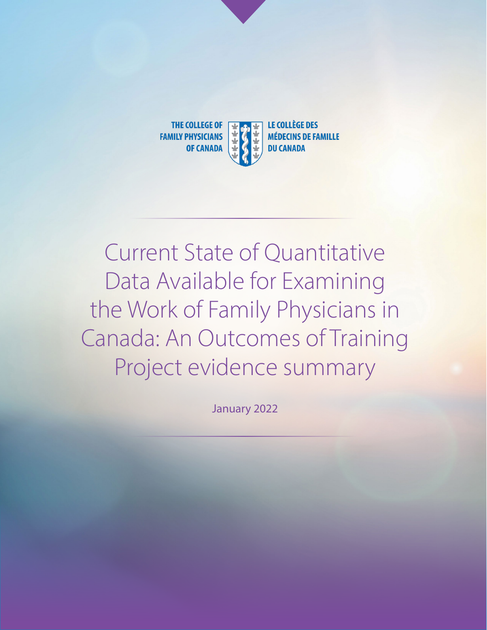

# Current State of Quantitative Data Available for Examining the Work of Family Physicians in Canada: An Outcomes of Training Project evidence summary

January 2022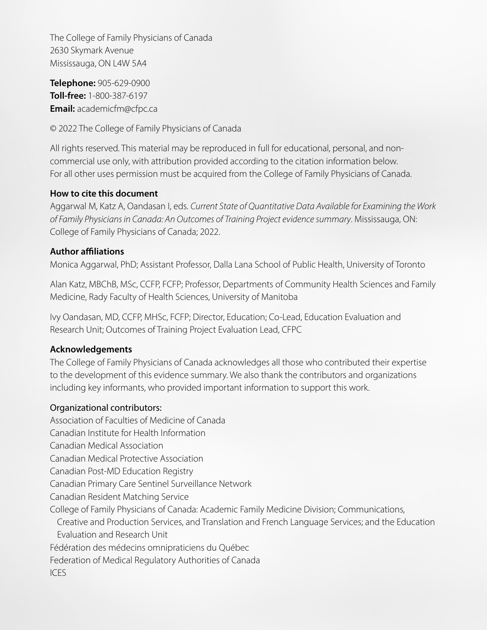The College of Family Physicians of Canada 2630 Skymark Avenue Mississauga, ON L4W 5A4

**Telephone:** 905-629-0900 **Toll-free:** 1-800-387-6197 **Email:** academicfm@cfpc.ca

© 2022 The College of Family Physicians of Canada

All rights reserved. This material may be reproduced in full for educational, personal, and noncommercial use only, with attribution provided according to the citation information below. For all other uses permission must be acquired from the College of Family Physicians of Canada.

### **How to cite this document**

Aggarwal M, Katz A, Oandasan I, eds. *Current State of Quantitative Data Available for Examining the Work of Family Physicians in Canada: An Outcomes of Training Project evidence summary*. Mississauga, ON: College of Family Physicians of Canada; 2022.

### **Author affiliations**

Monica Aggarwal, PhD; Assistant Professor, Dalla Lana School of Public Health, University of Toronto

Alan Katz, MBChB, MSc, CCFP, FCFP; Professor, Departments of Community Health Sciences and Family Medicine, Rady Faculty of Health Sciences, University of Manitoba

Ivy Oandasan, MD, CCFP, MHSc, FCFP; Director, Education; Co-Lead, Education Evaluation and Research Unit; Outcomes of Training Project Evaluation Lead, CFPC

### **Acknowledgements**

The College of Family Physicians of Canada acknowledges all those who contributed their expertise to the development of this evidence summary. We also thank the contributors and organizations including key informants, who provided important information to support this work.

### Organizational contributors:

Association of Faculties of Medicine of Canada

Canadian Institute for Health Information

Canadian Medical Association

Canadian Medical Protective Association

Canadian Post-MD Education Registry

Canadian Primary Care Sentinel Surveillance Network

Canadian Resident Matching Service

College of Family Physicians of Canada: Academic Family Medicine Division; Communications,

Creative and Production Services, and Translation and French Language Services; and the Education Evaluation and Research Unit

Fédération des médecins omnipraticiens du Québec

Federation of Medical Regulatory Authorities of Canada

ICES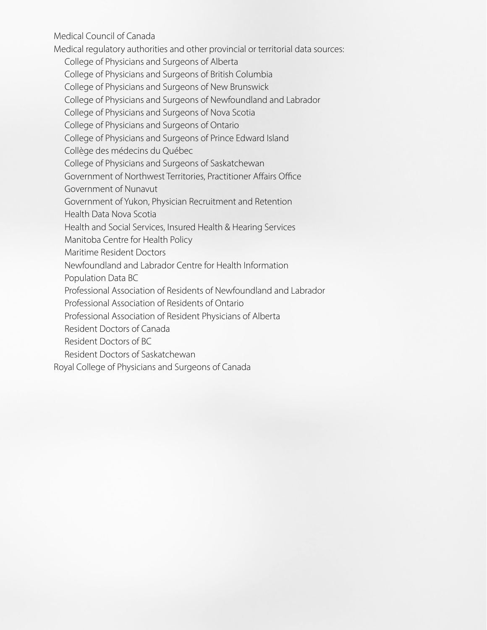Medical Council of Canada

Medical regulatory authorities and other provincial or territorial data sources:

College of Physicians and Surgeons of Alberta

College of Physicians and Surgeons of British Columbia

College of Physicians and Surgeons of New Brunswick

College of Physicians and Surgeons of Newfoundland and Labrador

College of Physicians and Surgeons of Nova Scotia

College of Physicians and Surgeons of Ontario

College of Physicians and Surgeons of Prince Edward Island

Collège des médecins du Québec

College of Physicians and Surgeons of Saskatchewan

Government of Northwest Territories, Practitioner Affairs Office

Government of Nunavut

Government of Yukon, Physician Recruitment and Retention

Health Data Nova Scotia

Health and Social Services, Insured Health & Hearing Services

Manitoba Centre for Health Policy

Maritime Resident Doctors

Newfoundland and Labrador Centre for Health Information

Population Data BC

Professional Association of Residents of Newfoundland and Labrador

Professional Association of Residents of Ontario

Professional Association of Resident Physicians of Alberta

Resident Doctors of Canada

Resident Doctors of BC

Resident Doctors of Saskatchewan

Royal College of Physicians and Surgeons of Canada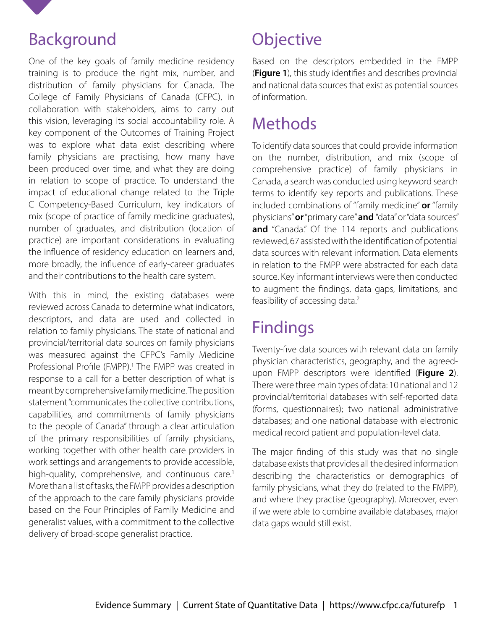

### Background

One of the key goals of family medicine residency training is to produce the right mix, number, and distribution of family physicians for Canada. The College of Family Physicians of Canada (CFPC), in collaboration with stakeholders, aims to carry out this vision, leveraging its social accountability role. A key component of the Outcomes of Training Project was to explore what data exist describing where family physicians are practising, how many have been produced over time, and what they are doing in relation to scope of practice. To understand the impact of educational change related to the Triple C Competency-Based Curriculum, key indicators of mix (scope of practice of family medicine graduates), number of graduates, and distribution (location of practice) are important considerations in evaluating the influence of residency education on learners and, more broadly, the influence of early-career graduates and their contributions to the health care system.

With this in mind, the existing databases were reviewed across Canada to determine what indicators, descriptors, and data are used and collected in relation to family physicians. The state of national and provincial/territorial data sources on family physicians was measured against the CFPC's Family Medicine Professional Profile (FMPP).<sup>1</sup> The FMPP was created in response to a call for a better description of what is meant by comprehensive family medicine. The position statement "communicates the collective contributions, capabilities, and commitments of family physicians to the people of Canada" through a clear articulation of the primary responsibilities of family physicians, working together with other health care providers in work settings and arrangements to provide accessible, high-quality, comprehensive, and continuous care.<sup>1</sup> More than a list of tasks, the FMPP provides a description of the approach to the care family physicians provide based on the Four Principles of Family Medicine and generalist values, with a commitment to the collective delivery of broad-scope generalist practice.

# **Objective**

Based on the descriptors embedded in the FMPP (**Figure 1**), this study identifies and describes provincial and national data sources that exist as potential sources of information.

# **Methods**

To identify data sources that could provide information on the number, distribution, and mix (scope of comprehensive practice) of family physicians in Canada, a search was conducted using keyword search terms to identify key reports and publications. These included combinations of "family medicine" **or** "family physicians" **or** "primary care" **and** "data" or "data sources" and "Canada." Of the 114 reports and publications reviewed, 67 assisted with the identification of potential data sources with relevant information. Data elements in relation to the FMPP were abstracted for each data source. Key informant interviews were then conducted to augment the findings, data gaps, limitations, and feasibility of accessing data.<sup>2</sup>

# Findings

Twenty-five data sources with relevant data on family physician characteristics, geography, and the agreedupon FMPP descriptors were identified (**Figure 2**). There were three main types of data: 10 national and 12 provincial/territorial databases with self-reported data (forms, questionnaires); two national administrative databases; and one national database with electronic medical record patient and population-level data.

The major finding of this study was that no single database exists that provides all the desired information describing the characteristics or demographics of family physicians, what they do (related to the FMPP), and where they practise (geography). Moreover, even if we were able to combine available databases, major data gaps would still exist.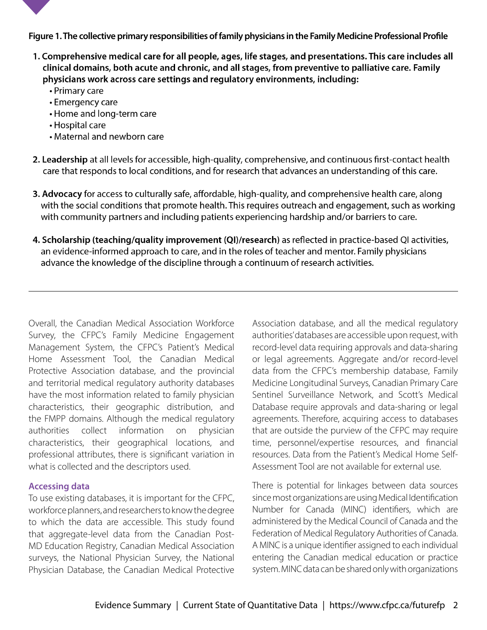

**Figure 1. The collective primary responsibilities of family physicians in the Family Medicine Professional Profile**

- 1. Comprehensive medical care for all people, ages, life stages, and presentations. This care includes all clinical domains, both acute and chronic, and all stages, from preventive to palliative care. Family physicians work across care settings and regulatory environments, including:
	- Primary care
	- Emergency care
	- Home and long-term care
	- Hospital care
	- Maternal and newborn care
- 2. Leadership at all levels for accessible, high-quality, comprehensive, and continuous first-contact health care that responds to local conditions, and for research that advances an understanding of this care.
- 3. Advocacy for access to culturally safe, affordable, high-quality, and comprehensive health care, along with the social conditions that promote health. This requires outreach and engagement, such as working with community partners and including patients experiencing hardship and/or barriers to care.
- 4. Scholarship (teaching/quality improvement (QI)/research) as reflected in practice-based QI activities, an evidence-informed approach to care, and in the roles of teacher and mentor. Family physicians advance the knowledge of the discipline through a continuum of research activities.

Overall, the Canadian Medical Association Workforce Survey, the CFPC's Family Medicine Engagement Management System, the CFPC's Patient's Medical Home Assessment Tool, the Canadian Medical Protective Association database, and the provincial and territorial medical regulatory authority databases have the most information related to family physician characteristics, their geographic distribution, and the FMPP domains. Although the medical regulatory authorities collect information on physician characteristics, their geographical locations, and professional attributes, there is significant variation in what is collected and the descriptors used.

### **Accessing data**

To use existing databases, it is important for the CFPC, workforce planners, and researchers to know the degree to which the data are accessible. This study found that aggregate-level data from the Canadian Post-MD Education Registry, Canadian Medical Association surveys, the National Physician Survey, the National Physician Database, the Canadian Medical Protective

Association database, and all the medical regulatory authorities' databases are accessible upon request, with record-level data requiring approvals and data-sharing or legal agreements. Aggregate and/or record-level data from the CFPC's membership database, Family Medicine Longitudinal Surveys, Canadian Primary Care Sentinel Surveillance Network, and Scott's Medical Database require approvals and data-sharing or legal agreements. Therefore, acquiring access to databases that are outside the purview of the CFPC may require time, personnel/expertise resources, and financial resources. Data from the Patient's Medical Home Self-Assessment Tool are not available for external use.

There is potential for linkages between data sources since most organizations are using Medical Identification Number for Canada (MINC) identifiers, which are administered by the Medical Council of Canada and the Federation of Medical Regulatory Authorities of Canada. A MINC is a unique identifier assigned to each individual entering the Canadian medical education or practice system. MINC data can be shared only with organizations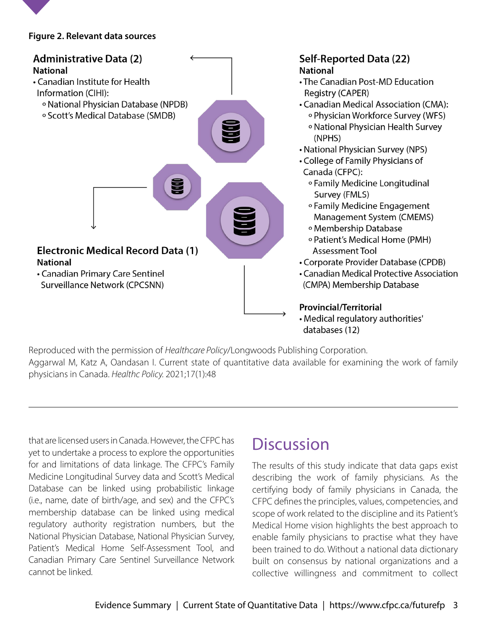

### **Figure 2. Relevant data sources**



Reproduced with the permission of *Healthcare Policy*/Longwoods Publishing Corporation. Aggarwal M, Katz A, Oandasan I. Current state of quantitative data available for examining the work of family physicians in Canada. *Healthc Policy.* 2021;17(1):48

that are licensed users in Canada. However, the CFPC has yet to undertake a process to explore the opportunities for and limitations of data linkage. The CFPC's Family Medicine Longitudinal Survey data and Scott's Medical Database can be linked using probabilistic linkage (i.e., name, date of birth/age, and sex) and the CFPC's membership database can be linked using medical regulatory authority registration numbers, but the National Physician Database, National Physician Survey, Patient's Medical Home Self-Assessment Tool, and Canadian Primary Care Sentinel Surveillance Network cannot be linked.

## **Discussion**

The results of this study indicate that data gaps exist describing the work of family physicians. As the certifying body of family physicians in Canada, the CFPC defines the principles, values, competencies, and scope of work related to the discipline and its Patient's Medical Home vision highlights the best approach to enable family physicians to practise what they have been trained to do. Without a national data dictionary built on consensus by national organizations and a collective willingness and commitment to collect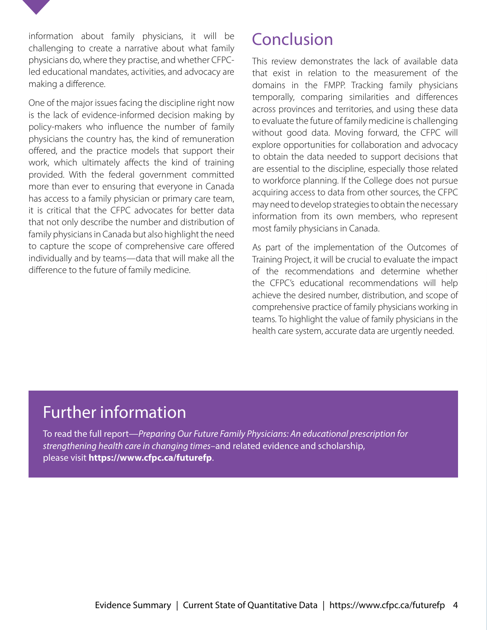information about family physicians, it will be challenging to create a narrative about what family physicians do, where they practise, and whether CFPCled educational mandates, activities, and advocacy are making a difference.

One of the major issues facing the discipline right now is the lack of evidence-informed decision making by policy-makers who influence the number of family physicians the country has, the kind of remuneration offered, and the practice models that support their work, which ultimately affects the kind of training provided. With the federal government committed more than ever to ensuring that everyone in Canada has access to a family physician or primary care team, it is critical that the CFPC advocates for better data that not only describe the number and distribution of family physicians in Canada but also highlight the need to capture the scope of comprehensive care offered individually and by teams—data that will make all the difference to the future of family medicine.

## Conclusion

This review demonstrates the lack of available data that exist in relation to the measurement of the domains in the FMPP. Tracking family physicians temporally, comparing similarities and differences across provinces and territories, and using these data to evaluate the future of family medicine is challenging without good data. Moving forward, the CFPC will explore opportunities for collaboration and advocacy to obtain the data needed to support decisions that are essential to the discipline, especially those related to workforce planning. If the College does not pursue acquiring access to data from other sources, the CFPC may need to develop strategies to obtain the necessary information from its own members, who represent most family physicians in Canada.

As part of the implementation of the Outcomes of Training Project, it will be crucial to evaluate the impact of the recommendations and determine whether the CFPC's educational recommendations will help achieve the desired number, distribution, and scope of comprehensive practice of family physicians working in teams. To highlight the value of family physicians in the health care system, accurate data are urgently needed.

## Further information

To read the full report—*Preparing Our Future Family Physicians: An educational prescription for strengthening health care in changing times–*and related evidence and scholarship, please visit **https://www.cfpc.ca/futurefp**.